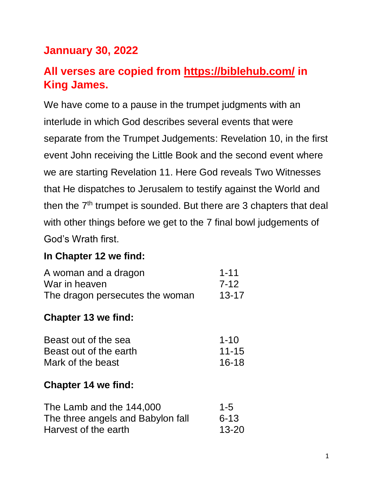# **Jannuary 30, 2022**

# **All verses are copied from https://biblehub.com/ in King James.**

We have come to a pause in the trumpet judgments with an interlude in which God describes several events that were separate from the Trumpet Judgements: Revelation 10, in the first event John receiving the Little Book and the second event where we are starting Revelation 11. Here God reveals Two Witnesses that He dispatches to Jerusalem to testify against the World and then the 7<sup>th</sup> trumpet is sounded. But there are 3 chapters that deal with other things before we get to the 7 final bowl judgements of God's Wrath first.

#### **In Chapter 12 we find:**

| A woman and a dragon            | $1 - 11$  |
|---------------------------------|-----------|
| War in heaven                   | 7-12      |
| The dragon persecutes the woman | $13 - 17$ |

#### **Chapter 13 we find:**

| Beast out of the sea   | $1 - 10$  |
|------------------------|-----------|
| Beast out of the earth | $11 - 15$ |
| Mark of the beast      | $16 - 18$ |

#### **Chapter 14 we find:**

| The Lamb and the 144,000          | $1 - 5$   |
|-----------------------------------|-----------|
| The three angels and Babylon fall | $6 - 13$  |
| Harvest of the earth              | $13 - 20$ |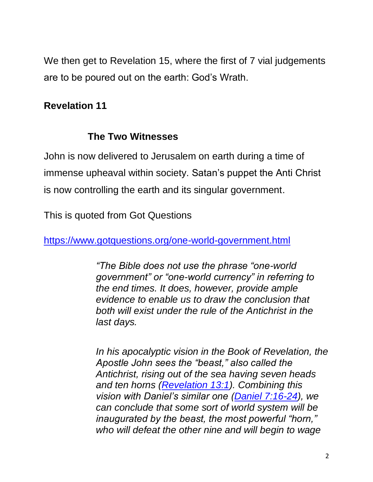We then get to Revelation 15, where the first of 7 vial judgements are to be poured out on the earth: God's Wrath.

## **Revelation 11**

## **The Two Witnesses**

John is now delivered to Jerusalem on earth during a time of immense upheaval within society. Satan's puppet the Anti Christ is now controlling the earth and its singular government.

This is quoted from Got Questions

<https://www.gotquestions.org/one-world-government.html>

*"The Bible does not use the phrase "one-world government" or "one-world currency" in referring to the end times. It does, however, provide ample evidence to enable us to draw the conclusion that both will exist under the rule of the Antichrist in the last days.* 

*In his apocalyptic vision in the Book of Revelation, the Apostle John sees the "beast," also called the Antichrist, rising out of the sea having seven heads and ten horns [\(Revelation 13:1\)](https://biblia.com/bible/kjv1900/Rev%2013.1). Combining this vision with Daniel's similar one [\(Daniel 7:16-24\)](https://biblia.com/bible/kjv1900/Dan%207.16-24), we can conclude that some sort of world system will be inaugurated by the beast, the most powerful "horn," who will defeat the other nine and will begin to wage*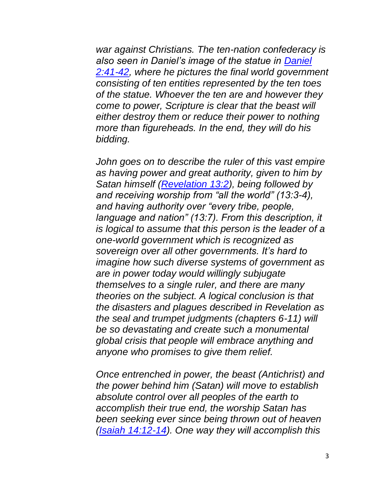*war against Christians. The ten-nation confederacy is also seen in Daniel's image of the statue in [Daniel](https://biblia.com/bible/kjv1900/Dan%202.41-42)  [2:41-42,](https://biblia.com/bible/kjv1900/Dan%202.41-42) where he pictures the final world government consisting of ten entities represented by the ten toes of the statue. Whoever the ten are and however they come to power, Scripture is clear that the beast will either destroy them or reduce their power to nothing more than figureheads. In the end, they will do his bidding.*

*John goes on to describe the ruler of this vast empire as having power and great authority, given to him by Satan himself [\(Revelation 13:2\)](https://biblia.com/bible/kjv1900/Rev%2013.2), being followed by and receiving worship from "all the world" (13:3-4), and having authority over "every tribe, people, language and nation" (13:7). From this description, it is logical to assume that this person is the leader of a one-world government which is recognized as sovereign over all other governments. It's hard to imagine how such diverse systems of government as are in power today would willingly subjugate themselves to a single ruler, and there are many theories on the subject. A logical conclusion is that the disasters and plagues described in Revelation as the seal and trumpet judgments (chapters 6-11) will be so devastating and create such a monumental global crisis that people will embrace anything and anyone who promises to give them relief.* 

*Once entrenched in power, the beast (Antichrist) and the power behind him (Satan) will move to establish absolute control over all peoples of the earth to accomplish their true end, the worship Satan has been seeking ever since being thrown out of heaven [\(Isaiah 14:12-14\)](https://biblia.com/bible/kjv1900/Isa%2014.12-14). One way they will accomplish this*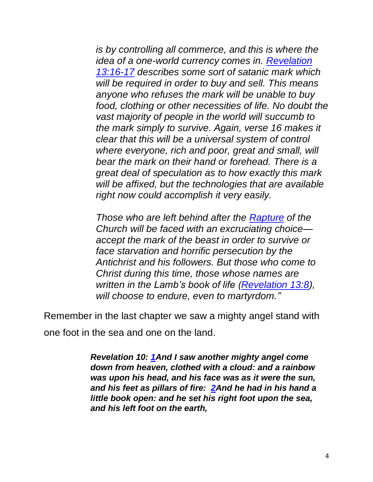*is by controlling all commerce, and this is where the idea of a one-world currency comes in. [Revelation](https://biblia.com/bible/kjv1900/Rev%2013.16-17)  [13:16-17](https://biblia.com/bible/kjv1900/Rev%2013.16-17) describes some sort of satanic mark which will be required in order to buy and sell. This means anyone who refuses the mark will be unable to buy food, clothing or other necessities of life. No doubt the vast majority of people in the world will succumb to the mark simply to survive. Again, verse 16 makes it clear that this will be a universal system of control where everyone, rich and poor, great and small, will bear the mark on their hand or forehead. There is a great deal of speculation as to how exactly this mark will be affixed, but the technologies that are available right now could accomplish it very easily.*

*Those who are left behind after the [Rapture](https://www.gotquestions.org/rapture-of-the-church.html) of the Church will be faced with an excruciating choice accept the mark of the beast in order to survive or face starvation and horrific persecution by the Antichrist and his followers. But those who come to Christ during this time, those whose names are written in the Lamb's book of life [\(Revelation 13:8\)](https://biblia.com/bible/kjv1900/Rev%2013.8), will choose to endure, even to martyrdom."*

Remember in the last chapter we saw a mighty angel stand with

one foot in the sea and one on the land.

*Revelation 10: [1An](https://biblehub.com/revelation/10-1.htm)d I saw another mighty angel come down from heaven, clothed with a cloud: and a rainbow was upon his head, and his face was as it were the sun, and his feet as pillars of fire: [2An](https://biblehub.com/revelation/10-2.htm)d he had in his hand a little book open: and he set his right foot upon the sea, and his left foot on the earth,*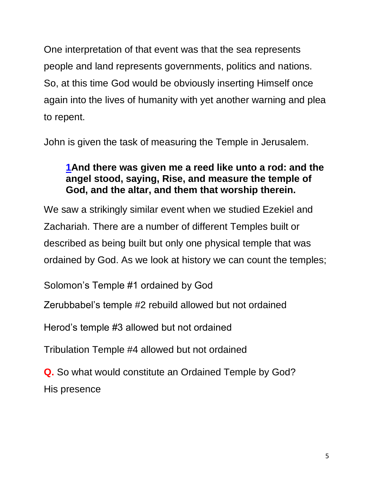One interpretation of that event was that the sea represents people and land represents governments, politics and nations. So, at this time God would be obviously inserting Himself once again into the lives of humanity with yet another warning and plea to repent.

John is given the task of measuring the Temple in Jerusalem.

### **[1A](https://biblehub.com/revelation/11-1.htm)nd there was given me a reed like unto a rod: and the angel stood, saying, Rise, and measure the temple of God, and the altar, and them that worship therein.**

We saw a strikingly similar event when we studied Ezekiel and Zachariah. There are a number of different Temples built or described as being built but only one physical temple that was ordained by God. As we look at history we can count the temples;

Solomon's Temple #1 ordained by God

Zerubbabel's temple #2 rebuild allowed but not ordained

Herod's temple #3 allowed but not ordained

Tribulation Temple #4 allowed but not ordained

**Q.** So what would constitute an Ordained Temple by God? His presence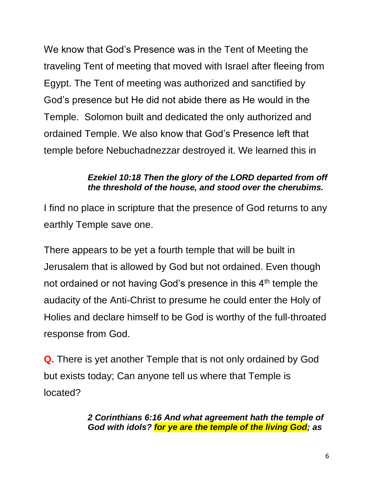We know that God's Presence was in the Tent of Meeting the traveling Tent of meeting that moved with Israel after fleeing from Egypt. The Tent of meeting was authorized and sanctified by God's presence but He did not abide there as He would in the Temple. Solomon built and dedicated the only authorized and ordained Temple. We also know that God's Presence left that temple before Nebuchadnezzar destroyed it. We learned this in

#### *Ezekiel 10:18 Then the glory of the LORD departed from off the threshold of the house, and stood over the cherubims.*

I find no place in scripture that the presence of God returns to any earthly Temple save one.

There appears to be yet a fourth temple that will be built in Jerusalem that is allowed by God but not ordained. Even though not ordained or not having God's presence in this  $4<sup>th</sup>$  temple the audacity of the Anti-Christ to presume he could enter the Holy of Holies and declare himself to be God is worthy of the full-throated response from God.

**Q.** There is yet another Temple that is not only ordained by God but exists today; Can anyone tell us where that Temple is located?

> *2 Corinthians 6:16 And what agreement hath the temple of God with idols? for ye are the temple of the living God; as*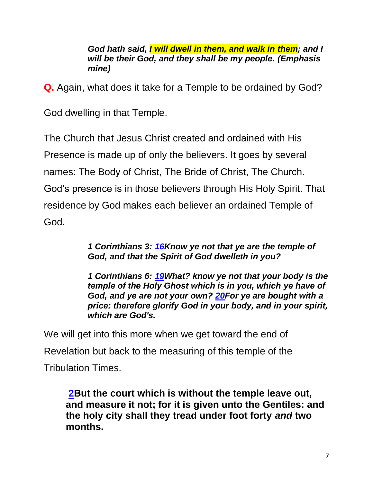*God hath said, I will dwell in them, and walk in them; and I will be their God, and they shall be my people. (Emphasis mine)*

**Q.** Again, what does it take for a Temple to be ordained by God?

God dwelling in that Temple.

The Church that Jesus Christ created and ordained with His Presence is made up of only the believers. It goes by several names: The Body of Christ, The Bride of Christ, The Church. God's presence is in those believers through His Holy Spirit. That residence by God makes each believer an ordained Temple of God.

> *1 Corinthians 3: [16K](https://biblehub.com/1_corinthians/3-16.htm)now ye not that ye are the temple of God, and that the Spirit of God dwelleth in you?*

*1 Corinthians 6: [19W](https://biblehub.com/1_corinthians/6-19.htm)hat? know ye not that your body is the temple of the Holy Ghost which is in you, which ye have of God, and ye are not your own? [20F](https://biblehub.com/1_corinthians/6-20.htm)or ye are bought with a price: therefore glorify God in your body, and in your spirit, which are God's.*

We will get into this more when we get toward the end of Revelation but back to the measuring of this temple of the Tribulation Times.

**[2B](https://biblehub.com/revelation/11-2.htm)ut the court which is without the temple leave out, and measure it not; for it is given unto the Gentiles: and the holy city shall they tread under foot forty** *and* **two months.**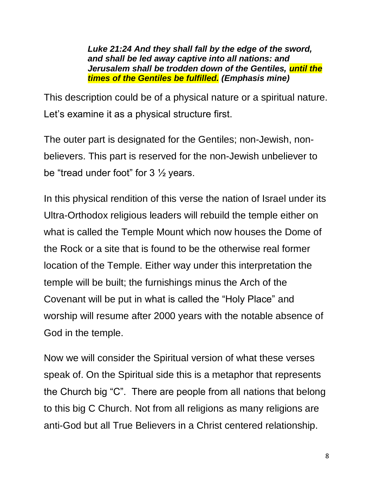*Luke 21:24 And they shall fall by the edge of the sword, and shall be led away captive into all nations: and Jerusalem shall be trodden down of the Gentiles, until the times of the Gentiles be fulfilled. (Emphasis mine)*

This description could be of a physical nature or a spiritual nature. Let's examine it as a physical structure first.

The outer part is designated for the Gentiles; non-Jewish, nonbelievers. This part is reserved for the non-Jewish unbeliever to be "tread under foot" for  $3\frac{1}{2}$  years.

In this physical rendition of this verse the nation of Israel under its Ultra-Orthodox religious leaders will rebuild the temple either on what is called the Temple Mount which now houses the Dome of the Rock or a site that is found to be the otherwise real former location of the Temple. Either way under this interpretation the temple will be built; the furnishings minus the Arch of the Covenant will be put in what is called the "Holy Place" and worship will resume after 2000 years with the notable absence of God in the temple.

Now we will consider the Spiritual version of what these verses speak of. On the Spiritual side this is a metaphor that represents the Church big "C". There are people from all nations that belong to this big C Church. Not from all religions as many religions are anti-God but all True Believers in a Christ centered relationship.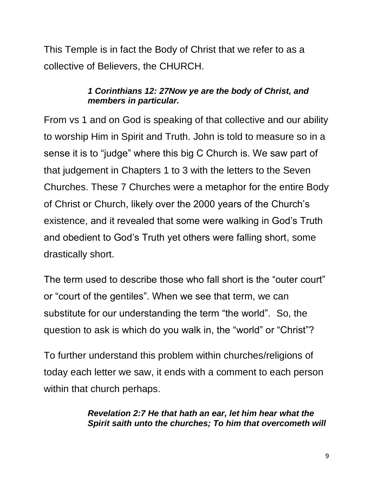This Temple is in fact the Body of Christ that we refer to as a collective of Believers, the CHURCH.

#### *1 Corinthians 12: 27Now ye are the body of Christ, and members in particular.*

From vs 1 and on God is speaking of that collective and our ability to worship Him in Spirit and Truth. John is told to measure so in a sense it is to "judge" where this big C Church is. We saw part of that judgement in Chapters 1 to 3 with the letters to the Seven Churches. These 7 Churches were a metaphor for the entire Body of Christ or Church, likely over the 2000 years of the Church's existence, and it revealed that some were walking in God's Truth and obedient to God's Truth yet others were falling short, some drastically short.

The term used to describe those who fall short is the "outer court" or "court of the gentiles". When we see that term, we can substitute for our understanding the term "the world". So, the question to ask is which do you walk in, the "world" or "Christ"?

To further understand this problem within churches/religions of today each letter we saw, it ends with a comment to each person within that church perhaps.

> *Revelation 2:7 He that hath an ear, let him hear what the Spirit saith unto the churches; To him that overcometh will*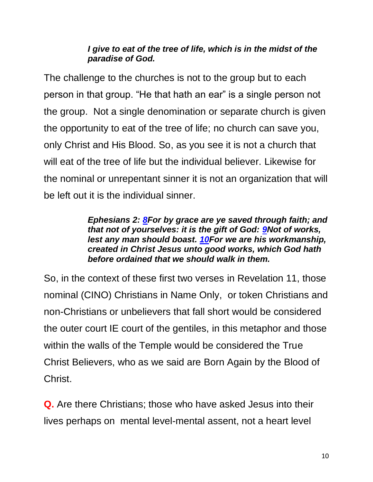#### *I give to eat of the tree of life, which is in the midst of the paradise of God.*

The challenge to the churches is not to the group but to each person in that group. "He that hath an ear" is a single person not the group. Not a single denomination or separate church is given the opportunity to eat of the tree of life; no church can save you, only Christ and His Blood. So, as you see it is not a church that will eat of the tree of life but the individual believer. Likewise for the nominal or unrepentant sinner it is not an organization that will be left out it is the individual sinner.

#### *Ephesians 2: [8F](https://biblehub.com/ephesians/2-8.htm)or by grace are ye saved through faith; and that not of yourselves: it is the gift of God: [9N](https://biblehub.com/ephesians/2-9.htm)ot of works, lest any man should boast. [10F](https://biblehub.com/ephesians/2-10.htm)or we are his workmanship, created in Christ Jesus unto good works, which God hath before ordained that we should walk in them.*

So, in the context of these first two verses in Revelation 11, those nominal (CINO) Christians in Name Only, or token Christians and non-Christians or unbelievers that fall short would be considered the outer court IE court of the gentiles, in this metaphor and those within the walls of the Temple would be considered the True Christ Believers, who as we said are Born Again by the Blood of Christ.

**Q.** Are there Christians; those who have asked Jesus into their lives perhaps on mental level-mental assent, not a heart level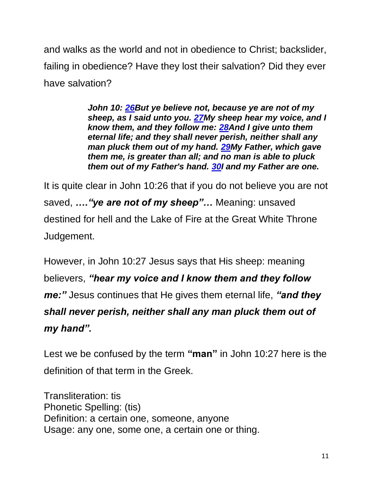and walks as the world and not in obedience to Christ; backslider, failing in obedience? Have they lost their salvation? Did they ever have salvation?

> *John 10: [26B](https://biblehub.com/john/10-26.htm)ut ye believe not, because ye are not of my sheep, as I said unto you. [27M](https://biblehub.com/john/10-27.htm)y sheep hear my voice, and I know them, and they follow me: [28A](https://biblehub.com/john/10-28.htm)nd I give unto them eternal life; and they shall never perish, neither shall any man pluck them out of my hand. [29M](https://biblehub.com/john/10-29.htm)y Father, which gave them me, is greater than all; and no man is able to pluck them out of my Father's hand. [30I](https://biblehub.com/john/10-30.htm) and my Father are one.*

It is quite clear in John 10:26 that if you do not believe you are not saved, *…."ye are not of my sheep"…* Meaning: unsaved destined for hell and the Lake of Fire at the Great White Throne Judgement.

However, in John 10:27 Jesus says that His sheep: meaning believers, *"hear my voice and I know them and they follow me:"* Jesus continues that He gives them eternal life, *"and they shall never perish, neither shall any man pluck them out of my hand".*

Lest we be confused by the term **"man"** in John 10:27 here is the definition of that term in the Greek.

Transliteration: tis Phonetic Spelling: (tis) Definition: a certain one, someone, anyone Usage: any one, some one, a certain one or thing.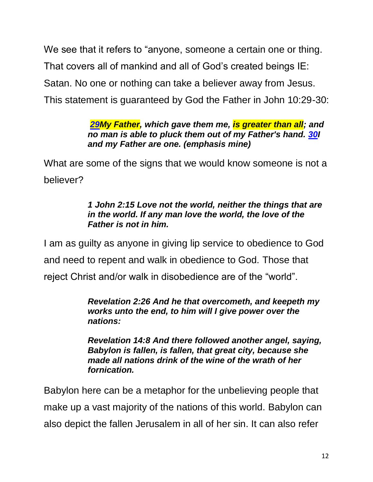We see that it refers to "anyone, someone a certain one or thing. That covers all of mankind and all of God's created beings IE: Satan. No one or nothing can take a believer away from Jesus. This statement is guaranteed by God the Father in John 10:29-30:

#### *[29M](https://biblehub.com/john/10-29.htm)y Father, which gave them me, is greater than all; and no man is able to pluck them out of my Father's hand. [30I](https://biblehub.com/john/10-30.htm) and my Father are one. (emphasis mine)*

What are some of the signs that we would know someone is not a believer?

#### *1 John 2:15 Love not the world, neither the things that are in the world. If any man love the world, the love of the Father is not in him.*

I am as guilty as anyone in giving lip service to obedience to God and need to repent and walk in obedience to God. Those that reject Christ and/or walk in disobedience are of the "world".

#### *Revelation 2:26 And he that overcometh, and keepeth my works unto the end, to him will I give power over the nations:*

*Revelation 14:8 And there followed another angel, saying, Babylon is fallen, is fallen, that great city, because she made all nations drink of the wine of the wrath of her fornication.*

Babylon here can be a metaphor for the unbelieving people that make up a vast majority of the nations of this world. Babylon can also depict the fallen Jerusalem in all of her sin. It can also refer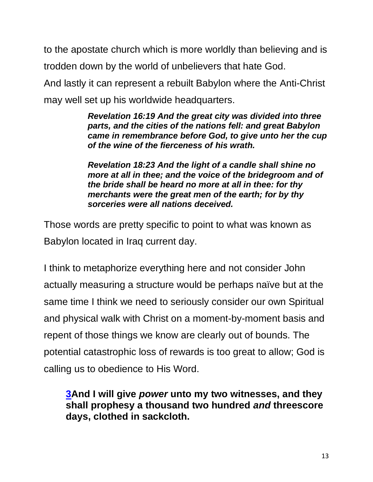to the apostate church which is more worldly than believing and is trodden down by the world of unbelievers that hate God.

And lastly it can represent a rebuilt Babylon where the Anti-Christ may well set up his worldwide headquarters.

> *Revelation 16:19 And the great city was divided into three parts, and the cities of the nations fell: and great Babylon came in remembrance before God, to give unto her the cup of the wine of the fierceness of his wrath.*

*Revelation 18:23 And the light of a candle shall shine no more at all in thee; and the voice of the bridegroom and of the bride shall be heard no more at all in thee: for thy merchants were the great men of the earth; for by thy sorceries were all nations deceived.*

Those words are pretty specific to point to what was known as Babylon located in Iraq current day.

I think to metaphorize everything here and not consider John actually measuring a structure would be perhaps naïve but at the same time I think we need to seriously consider our own Spiritual and physical walk with Christ on a moment-by-moment basis and repent of those things we know are clearly out of bounds. The potential catastrophic loss of rewards is too great to allow; God is calling us to obedience to His Word.

**[3A](https://biblehub.com/revelation/11-3.htm)nd I will give** *power* **unto my two witnesses, and they shall prophesy a thousand two hundred** *and* **threescore days, clothed in sackcloth.**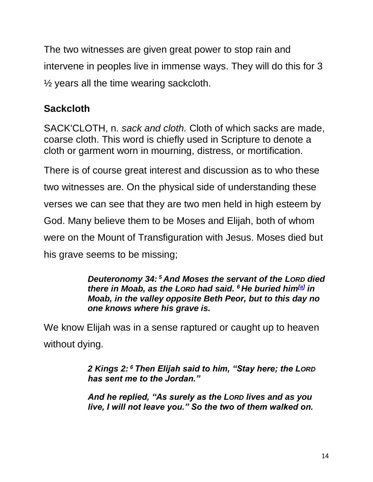The two witnesses are given great power to stop rain and intervene in peoples live in immense ways. They will do this for 3  $\frac{1}{2}$  years all the time wearing sackcloth.

# **Sackcloth**

SACK'CLOTH, n. *sack and cloth.* Cloth of which sacks are made, coarse cloth. This word is chiefly used in Scripture to denote a cloth or garment worn in mourning, distress, or mortification.

There is of course great interest and discussion as to who these two witnesses are. On the physical side of understanding these verses we can see that they are two men held in high esteem by God. Many believe them to be Moses and Elijah, both of whom were on the Mount of Transfiguration with Jesus. Moses died but his grave seems to be missing;

> *Deuteronomy 34: <sup>5</sup> And Moses the servant of the LORD died there in Moab, as the LORD had said. <sup>6</sup> He buried him[\[a\]](https://www.biblegateway.com/passage/?search=Deuteronomy+34&version=NIV#fen-NIV-5846a) in Moab, in the valley opposite Beth Peor, but to this day no one knows where his grave is.*

We know Elijah was in a sense raptured or caught up to heaven without dying.

> *2 Kings 2: <sup>6</sup> Then Elijah said to him, "Stay here; the LORD has sent me to the Jordan."*

*And he replied, "As surely as the LORD lives and as you live, I will not leave you." So the two of them walked on.*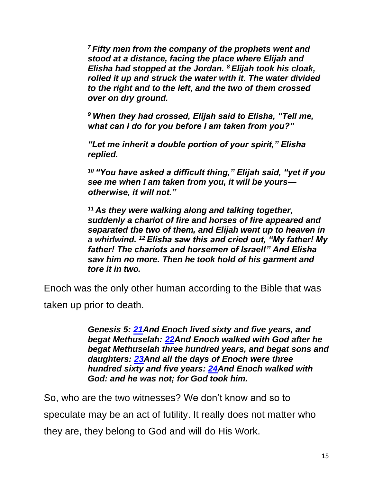*<sup>7</sup> Fifty men from the company of the prophets went and stood at a distance, facing the place where Elijah and Elisha had stopped at the Jordan. <sup>8</sup> Elijah took his cloak, rolled it up and struck the water with it. The water divided to the right and to the left, and the two of them crossed over on dry ground.*

*<sup>9</sup> When they had crossed, Elijah said to Elisha, "Tell me, what can I do for you before I am taken from you?"*

*"Let me inherit a double portion of your spirit," Elisha replied.*

*<sup>10</sup> "You have asked a difficult thing," Elijah said, "yet if you see me when I am taken from you, it will be yours otherwise, it will not."*

*<sup>11</sup> As they were walking along and talking together, suddenly a chariot of fire and horses of fire appeared and separated the two of them, and Elijah went up to heaven in a whirlwind. <sup>12</sup> Elisha saw this and cried out, "My father! My father! The chariots and horsemen of Israel!" And Elisha saw him no more. Then he took hold of his garment and tore it in two.*

Enoch was the only other human according to the Bible that was

taken up prior to death.

*Genesis 5: [21A](https://biblehub.com/genesis/5-21.htm)nd Enoch lived sixty and five years, and begat Methuselah: [22A](https://biblehub.com/genesis/5-22.htm)nd Enoch walked with God after he begat Methuselah three hundred years, and begat sons and daughters: [23A](https://biblehub.com/genesis/5-23.htm)nd all the days of Enoch were three hundred sixty and five years: [24A](https://biblehub.com/genesis/5-24.htm)nd Enoch walked with God: and he was not; for God took him.*

So, who are the two witnesses? We don't know and so to speculate may be an act of futility. It really does not matter who they are, they belong to God and will do His Work.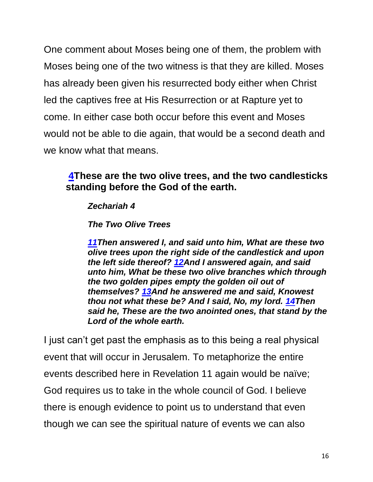One comment about Moses being one of them, the problem with Moses being one of the two witness is that they are killed. Moses has already been given his resurrected body either when Christ led the captives free at His Resurrection or at Rapture yet to come. In either case both occur before this event and Moses would not be able to die again, that would be a second death and we know what that means.

### **[4T](https://biblehub.com/revelation/11-4.htm)hese are the two olive trees, and the two candlesticks standing before the God of the earth.**

#### *Zechariah 4*

*The Two Olive Trees*

*[11T](https://biblehub.com/zechariah/4-11.htm)hen answered I, and said unto him, What are these two olive trees upon the right side of the candlestick and upon the left side thereof? [12A](https://biblehub.com/zechariah/4-12.htm)nd I answered again, and said unto him, What be these two olive branches which through the two golden pipes empty the golden oil out of themselves? [13A](https://biblehub.com/zechariah/4-13.htm)nd he answered me and said, Knowest thou not what these be? And I said, No, my lord. [14T](https://biblehub.com/zechariah/4-14.htm)hen said he, These are the two anointed ones, that stand by the Lord of the whole earth.*

I just can't get past the emphasis as to this being a real physical event that will occur in Jerusalem. To metaphorize the entire events described here in Revelation 11 again would be naïve; God requires us to take in the whole council of God. I believe there is enough evidence to point us to understand that even though we can see the spiritual nature of events we can also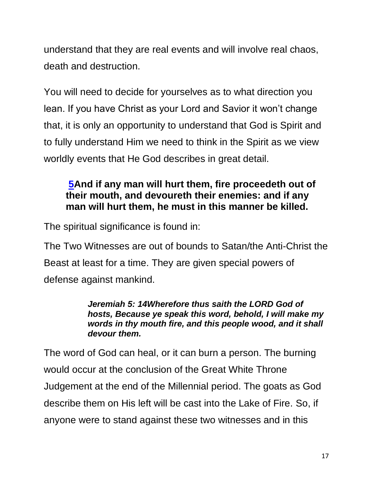understand that they are real events and will involve real chaos, death and destruction.

You will need to decide for yourselves as to what direction you lean. If you have Christ as your Lord and Savior it won't change that, it is only an opportunity to understand that God is Spirit and to fully understand Him we need to think in the Spirit as we view worldly events that He God describes in great detail.

### **[5A](https://biblehub.com/revelation/11-5.htm)nd if any man will hurt them, fire proceedeth out of their mouth, and devoureth their enemies: and if any man will hurt them, he must in this manner be killed.**

The spiritual significance is found in:

The Two Witnesses are out of bounds to Satan/the Anti-Christ the Beast at least for a time. They are given special powers of defense against mankind.

#### *Jeremiah 5: 14Wherefore thus saith the LORD God of hosts, Because ye speak this word, behold, I will make my words in thy mouth fire, and this people wood, and it shall devour them.*

The word of God can heal, or it can burn a person. The burning would occur at the conclusion of the Great White Throne Judgement at the end of the Millennial period. The goats as God describe them on His left will be cast into the Lake of Fire. So, if anyone were to stand against these two witnesses and in this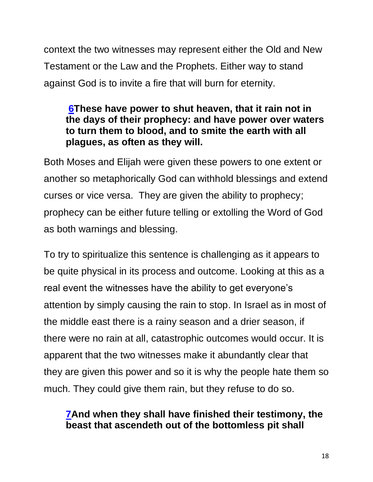context the two witnesses may represent either the Old and New Testament or the Law and the Prophets. Either way to stand against God is to invite a fire that will burn for eternity.

### **[6T](https://biblehub.com/revelation/11-6.htm)hese have power to shut heaven, that it rain not in the days of their prophecy: and have power over waters to turn them to blood, and to smite the earth with all plagues, as often as they will.**

Both Moses and Elijah were given these powers to one extent or another so metaphorically God can withhold blessings and extend curses or vice versa. They are given the ability to prophecy; prophecy can be either future telling or extolling the Word of God as both warnings and blessing.

To try to spiritualize this sentence is challenging as it appears to be quite physical in its process and outcome. Looking at this as a real event the witnesses have the ability to get everyone's attention by simply causing the rain to stop. In Israel as in most of the middle east there is a rainy season and a drier season, if there were no rain at all, catastrophic outcomes would occur. It is apparent that the two witnesses make it abundantly clear that they are given this power and so it is why the people hate them so much. They could give them rain, but they refuse to do so.

### **[7A](https://biblehub.com/revelation/11-7.htm)nd when they shall have finished their testimony, the beast that ascendeth out of the bottomless pit shall**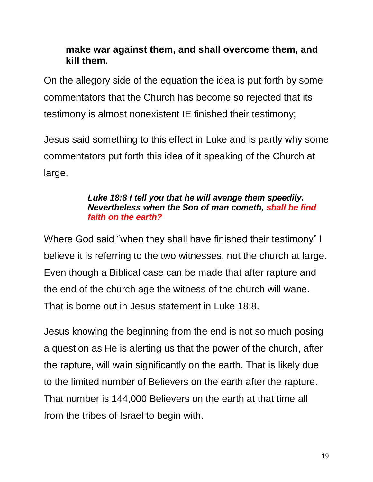### **make war against them, and shall overcome them, and kill them.**

On the allegory side of the equation the idea is put forth by some commentators that the Church has become so rejected that its testimony is almost nonexistent IE finished their testimony;

Jesus said something to this effect in Luke and is partly why some commentators put forth this idea of it speaking of the Church at large.

#### *Luke 18:8 I tell you that he will avenge them speedily. Nevertheless when the Son of man cometh, shall he find faith on the earth?*

Where God said "when they shall have finished their testimony" I believe it is referring to the two witnesses, not the church at large. Even though a Biblical case can be made that after rapture and the end of the church age the witness of the church will wane. That is borne out in Jesus statement in Luke 18:8.

Jesus knowing the beginning from the end is not so much posing a question as He is alerting us that the power of the church, after the rapture, will wain significantly on the earth. That is likely due to the limited number of Believers on the earth after the rapture. That number is 144,000 Believers on the earth at that time all from the tribes of Israel to begin with.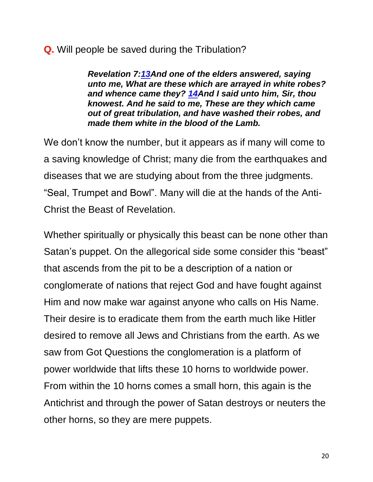#### **Q.** Will people be saved during the Tribulation?

*Revelation 7[:13A](https://biblehub.com/revelation/7-13.htm)nd one of the elders answered, saying unto me, What are these which are arrayed in white robes? and whence came they? [14A](https://biblehub.com/revelation/7-14.htm)nd I said unto him, Sir, thou knowest. And he said to me, These are they which came out of great tribulation, and have washed their robes, and made them white in the blood of the Lamb.* 

We don't know the number, but it appears as if many will come to a saving knowledge of Christ; many die from the earthquakes and diseases that we are studying about from the three judgments. "Seal, Trumpet and Bowl". Many will die at the hands of the Anti-Christ the Beast of Revelation.

Whether spiritually or physically this beast can be none other than Satan's puppet. On the allegorical side some consider this "beast" that ascends from the pit to be a description of a nation or conglomerate of nations that reject God and have fought against Him and now make war against anyone who calls on His Name. Their desire is to eradicate them from the earth much like Hitler desired to remove all Jews and Christians from the earth. As we saw from Got Questions the conglomeration is a platform of power worldwide that lifts these 10 horns to worldwide power. From within the 10 horns comes a small horn, this again is the Antichrist and through the power of Satan destroys or neuters the other horns, so they are mere puppets.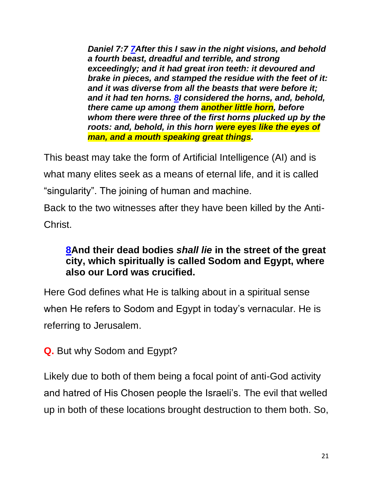*Daniel 7:7 [7A](https://biblehub.com/daniel/7-7.htm)fter this I saw in the night visions, and behold a fourth beast, dreadful and terrible, and strong exceedingly; and it had great iron teeth: it devoured and brake in pieces, and stamped the residue with the feet of it: and it was diverse from all the beasts that were before it; and it had ten horns. [8I](https://biblehub.com/daniel/7-8.htm) considered the horns, and, behold, there came up among them another little horn, before whom there were three of the first horns plucked up by the roots: and, behold, in this horn were eyes like the eyes of man, and a mouth speaking great things.*

This beast may take the form of Artificial Intelligence (AI) and is what many elites seek as a means of eternal life, and it is called "singularity". The joining of human and machine.

Back to the two witnesses after they have been killed by the Anti-Christ.

### **[8A](https://biblehub.com/revelation/11-8.htm)nd their dead bodies** *shall lie* **in the street of the great city, which spiritually is called Sodom and Egypt, where also our Lord was crucified.**

Here God defines what He is talking about in a spiritual sense when He refers to Sodom and Egypt in today's vernacular. He is referring to Jerusalem.

**Q.** But why Sodom and Egypt?

Likely due to both of them being a focal point of anti-God activity and hatred of His Chosen people the Israeli's. The evil that welled up in both of these locations brought destruction to them both. So,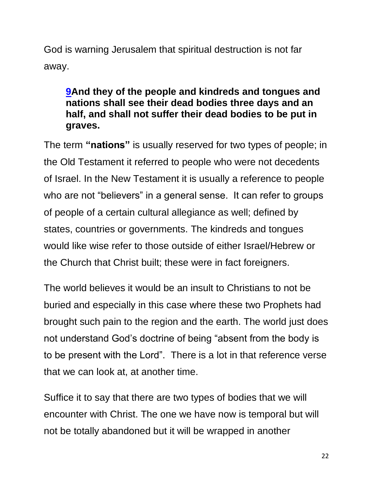God is warning Jerusalem that spiritual destruction is not far away.

### **[9A](https://biblehub.com/revelation/11-9.htm)nd they of the people and kindreds and tongues and nations shall see their dead bodies three days and an half, and shall not suffer their dead bodies to be put in graves.**

The term **"nations"** is usually reserved for two types of people; in the Old Testament it referred to people who were not decedents of Israel. In the New Testament it is usually a reference to people who are not "believers" in a general sense. It can refer to groups of people of a certain cultural allegiance as well; defined by states, countries or governments. The kindreds and tongues would like wise refer to those outside of either Israel/Hebrew or the Church that Christ built; these were in fact foreigners.

The world believes it would be an insult to Christians to not be buried and especially in this case where these two Prophets had brought such pain to the region and the earth. The world just does not understand God's doctrine of being "absent from the body is to be present with the Lord". There is a lot in that reference verse that we can look at, at another time.

Suffice it to say that there are two types of bodies that we will encounter with Christ. The one we have now is temporal but will not be totally abandoned but it will be wrapped in another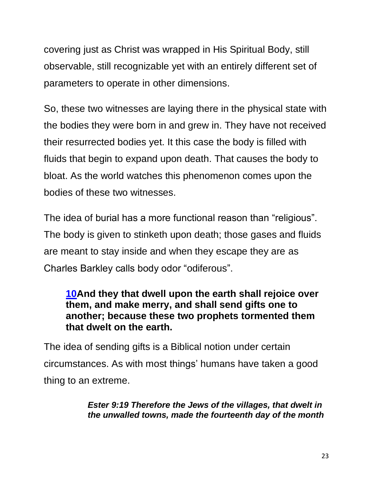covering just as Christ was wrapped in His Spiritual Body, still observable, still recognizable yet with an entirely different set of parameters to operate in other dimensions.

So, these two witnesses are laying there in the physical state with the bodies they were born in and grew in. They have not received their resurrected bodies yet. It this case the body is filled with fluids that begin to expand upon death. That causes the body to bloat. As the world watches this phenomenon comes upon the bodies of these two witnesses.

The idea of burial has a more functional reason than "religious". The body is given to stinketh upon death; those gases and fluids are meant to stay inside and when they escape they are as Charles Barkley calls body odor "odiferous".

### **[10A](https://biblehub.com/revelation/11-10.htm)nd they that dwell upon the earth shall rejoice over them, and make merry, and shall send gifts one to another; because these two prophets tormented them that dwelt on the earth.**

The idea of sending gifts is a Biblical notion under certain circumstances. As with most things' humans have taken a good thing to an extreme.

> *Ester 9:19 Therefore the Jews of the villages, that dwelt in the unwalled towns, made the fourteenth day of the month*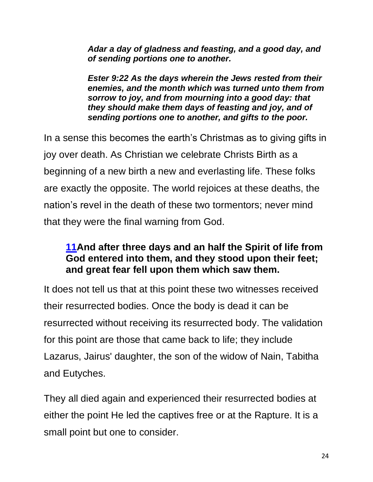*Adar a day of gladness and feasting, and a good day, and of sending portions one to another.*

*Ester 9:22 As the days wherein the Jews rested from their enemies, and the month which was turned unto them from sorrow to joy, and from mourning into a good day: that they should make them days of feasting and joy, and of sending portions one to another, and gifts to the poor.*

In a sense this becomes the earth's Christmas as to giving gifts in joy over death. As Christian we celebrate Christs Birth as a beginning of a new birth a new and everlasting life. These folks are exactly the opposite. The world rejoices at these deaths, the nation's revel in the death of these two tormentors; never mind that they were the final warning from God.

### **[11A](https://biblehub.com/revelation/11-11.htm)nd after three days and an half the Spirit of life from God entered into them, and they stood upon their feet; and great fear fell upon them which saw them.**

It does not tell us that at this point these two witnesses received their resurrected bodies. Once the body is dead it can be resurrected without receiving its resurrected body. The validation for this point are those that came back to life; they include Lazarus, Jairus' daughter, the son of the widow of Nain, Tabitha and Eutyches.

They all died again and experienced their resurrected bodies at either the point He led the captives free or at the Rapture. It is a small point but one to consider.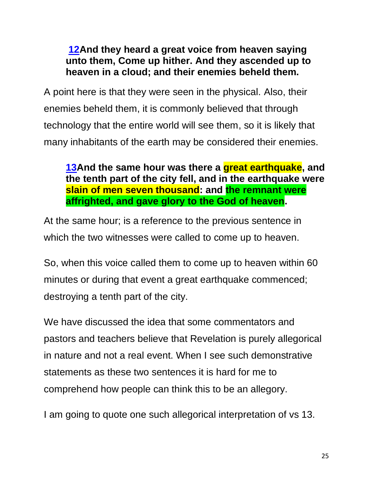### **[12A](https://biblehub.com/revelation/11-12.htm)nd they heard a great voice from heaven saying unto them, Come up hither. And they ascended up to heaven in a cloud; and their enemies beheld them.**

A point here is that they were seen in the physical. Also, their enemies beheld them, it is commonly believed that through technology that the entire world will see them, so it is likely that many inhabitants of the earth may be considered their enemies.

**[13A](https://biblehub.com/revelation/11-13.htm)nd the same hour was there a great earthquake, and the tenth part of the city fell, and in the earthquake were slain of men seven thousand: and the remnant were affrighted, and gave glory to the God of heaven.**

At the same hour; is a reference to the previous sentence in which the two witnesses were called to come up to heaven.

So, when this voice called them to come up to heaven within 60 minutes or during that event a great earthquake commenced; destroying a tenth part of the city.

We have discussed the idea that some commentators and pastors and teachers believe that Revelation is purely allegorical in nature and not a real event. When I see such demonstrative statements as these two sentences it is hard for me to comprehend how people can think this to be an allegory.

I am going to quote one such allegorical interpretation of vs 13.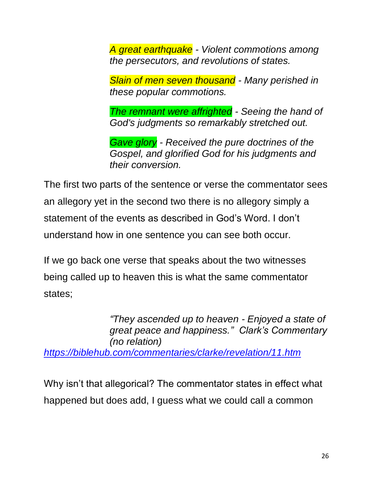*A great earthquake - Violent commotions among the persecutors, and revolutions of states.*

*Slain of men seven thousand - Many perished in these popular commotions.*

*The remnant were affrighted - Seeing the hand of God's judgments so remarkably stretched out.*

*Gave glory - Received the pure doctrines of the Gospel, and glorified God for his judgments and their conversion.* 

The first two parts of the sentence or verse the commentator sees an allegory yet in the second two there is no allegory simply a statement of the events as described in God's Word. I don't understand how in one sentence you can see both occur.

If we go back one verse that speaks about the two witnesses being called up to heaven this is what the same commentator states;

*"They ascended up to heaven - Enjoyed a state of great peace and happiness." Clark's Commentary (no relation) <https://biblehub.com/commentaries/clarke/revelation/11.htm>*

Why isn't that allegorical? The commentator states in effect what happened but does add, I guess what we could call a common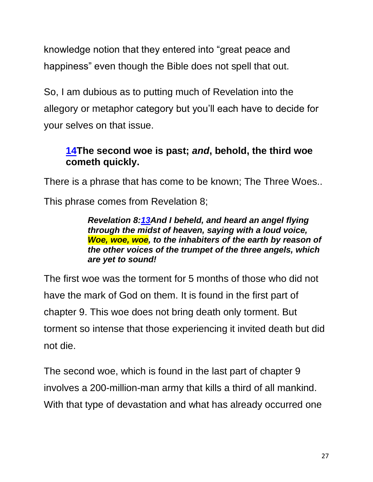knowledge notion that they entered into "great peace and happiness" even though the Bible does not spell that out.

So, I am dubious as to putting much of Revelation into the allegory or metaphor category but you'll each have to decide for your selves on that issue.

### **[14T](https://biblehub.com/revelation/11-14.htm)he second woe is past;** *and***, behold, the third woe cometh quickly.**

There is a phrase that has come to be known; The Three Woes..

This phrase comes from Revelation 8;

#### *Revelation 8[:13A](https://biblehub.com/revelation/8-13.htm)nd I beheld, and heard an angel flying through the midst of heaven, saying with a loud voice, Woe, woe, woe, to the inhabiters of the earth by reason of the other voices of the trumpet of the three angels, which are yet to sound!*

The first woe was the torment for 5 months of those who did not have the mark of God on them. It is found in the first part of chapter 9. This woe does not bring death only torment. But torment so intense that those experiencing it invited death but did not die.

The second woe, which is found in the last part of chapter 9 involves a 200-million-man army that kills a third of all mankind. With that type of devastation and what has already occurred one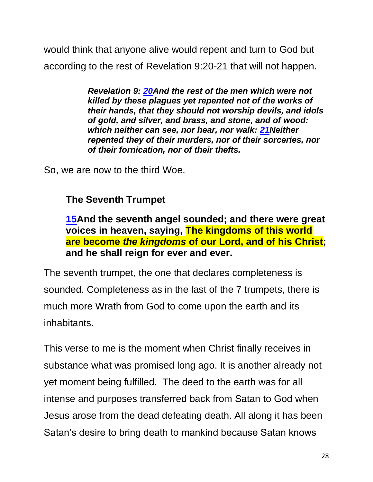would think that anyone alive would repent and turn to God but according to the rest of Revelation 9:20-21 that will not happen.

> *Revelation 9: [20A](https://biblehub.com/revelation/9-20.htm)nd the rest of the men which were not killed by these plagues yet repented not of the works of their hands, that they should not worship devils, and idols of gold, and silver, and brass, and stone, and of wood: which neither can see, nor hear, nor walk: [21N](https://biblehub.com/revelation/9-21.htm)either repented they of their murders, nor of their sorceries, nor of their fornication, nor of their thefts.*

So, we are now to the third Woe.

### **The Seventh Trumpet**

**[15A](https://biblehub.com/revelation/11-15.htm)nd the seventh angel sounded; and there were great voices in heaven, saying, The kingdoms of this world are become** *the kingdoms* **of our Lord, and of his Christ; and he shall reign for ever and ever.**

The seventh trumpet, the one that declares completeness is sounded. Completeness as in the last of the 7 trumpets, there is much more Wrath from God to come upon the earth and its inhabitants.

This verse to me is the moment when Christ finally receives in substance what was promised long ago. It is another already not yet moment being fulfilled. The deed to the earth was for all intense and purposes transferred back from Satan to God when Jesus arose from the dead defeating death. All along it has been Satan's desire to bring death to mankind because Satan knows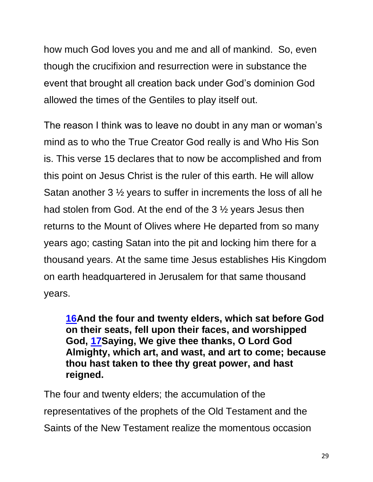how much God loves you and me and all of mankind. So, even though the crucifixion and resurrection were in substance the event that brought all creation back under God's dominion God allowed the times of the Gentiles to play itself out.

The reason I think was to leave no doubt in any man or woman's mind as to who the True Creator God really is and Who His Son is. This verse 15 declares that to now be accomplished and from this point on Jesus Christ is the ruler of this earth. He will allow Satan another 3 ½ years to suffer in increments the loss of all he had stolen from God. At the end of the 3 ½ years Jesus then returns to the Mount of Olives where He departed from so many years ago; casting Satan into the pit and locking him there for a thousand years. At the same time Jesus establishes His Kingdom on earth headquartered in Jerusalem for that same thousand years.

**[16A](https://biblehub.com/revelation/11-16.htm)nd the four and twenty elders, which sat before God on their seats, fell upon their faces, and worshipped God, [17S](https://biblehub.com/revelation/11-17.htm)aying, We give thee thanks, O Lord God Almighty, which art, and wast, and art to come; because thou hast taken to thee thy great power, and hast reigned.**

The four and twenty elders; the accumulation of the representatives of the prophets of the Old Testament and the Saints of the New Testament realize the momentous occasion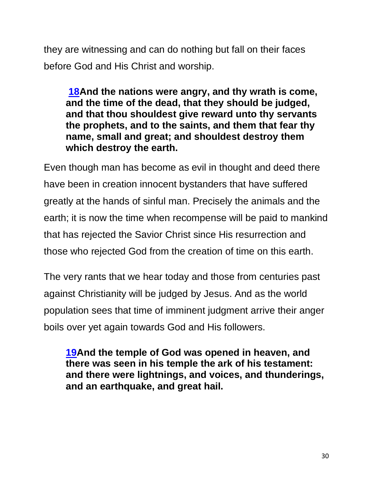they are witnessing and can do nothing but fall on their faces before God and His Christ and worship.

**[18A](https://biblehub.com/revelation/11-18.htm)nd the nations were angry, and thy wrath is come, and the time of the dead, that they should be judged, and that thou shouldest give reward unto thy servants the prophets, and to the saints, and them that fear thy name, small and great; and shouldest destroy them which destroy the earth.**

Even though man has become as evil in thought and deed there have been in creation innocent bystanders that have suffered greatly at the hands of sinful man. Precisely the animals and the earth; it is now the time when recompense will be paid to mankind that has rejected the Savior Christ since His resurrection and those who rejected God from the creation of time on this earth.

The very rants that we hear today and those from centuries past against Christianity will be judged by Jesus. And as the world population sees that time of imminent judgment arrive their anger boils over yet again towards God and His followers.

**[19A](https://biblehub.com/revelation/11-19.htm)nd the temple of God was opened in heaven, and there was seen in his temple the ark of his testament: and there were lightnings, and voices, and thunderings, and an earthquake, and great hail.**